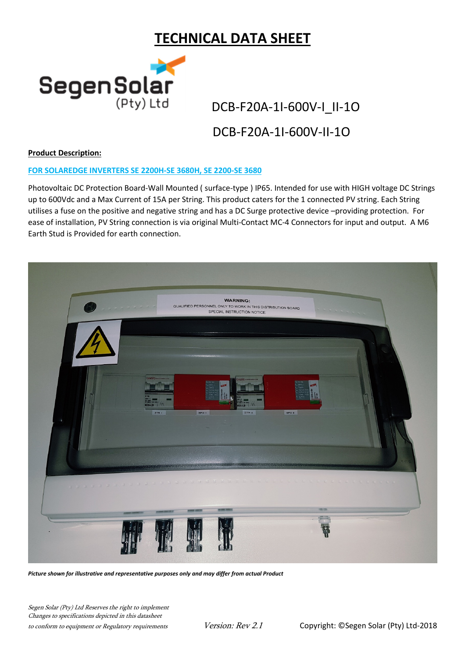# TECHNICAL DATA SHEET



## DCB-F20A-1I-600V-II-1O

## Product Description:

### FOR SOLAREDGE INVERTERS SE 2200H-SE 3680H, SE 2200-SE 3680

Photovoltaic DC Protection Board-Wall Mounted ( surface-type ) IP65. Intended for use with HIGH voltage DC Strings up to 600Vdc and a Max Current of 15A per String. This product caters for the 1 connected PV string. Each String utilises a fuse on the positive and negative string and has a DC Surge protective device –providing protection. For ease of installation, PV String connection is via original Multi-Contact MC-4 Connectors for input and output. A M6 Earth Stud is Provided for earth connection.



Picture shown for illustrative and representative purposes only and may differ from actual Product

Segen Solar (Pty) Ltd Reserves the right to implement Changes to specifications depicted in this datasheet to conform to equipment or Regulatory requirements Version: Rev 2.1 Copyright: ©Segen Solar (Pty) Ltd-2018